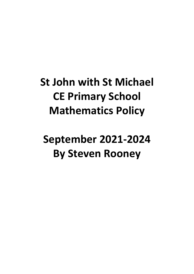**St John with St Michael CE Primary School Mathematics Policy**

**September 2021-2024 By Steven Rooney**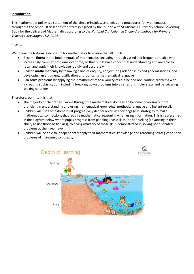# **Introduction:**

This mathematics policy is a statement of the aims, principles, strategies and procedures for Mathematics throughout the school. It describes the strategy agreed by the St John with St Michael CE Primary School Governing Body for the delivery of Mathematics according to the *National Curriculum in England, Handbook for Primary Teachers, Key Stages 1&2, 2014*.

## **Intent:**

We follow the National Curriculum for mathematics to ensure that all pupils:

- Become **fluent** in the fundamentals of mathematics, including through varied and frequent practice with increasingly complex problems over time, so that pupils have conceptual understanding and are able to recall and apply their knowledge rapidly and accurately
- **Reason mathematically** by following a line of enquiry, conjecturing relationships and generalisations, and developing an argument, justification or proof using mathematical language
- Can **solve problems** by applying their mathematics to a variety of routine and non-routine problems with increasing sophistication, including breaking down problems into a series of simpler steps and persevering in seeking solutions

Therefore, our intent is that:

- The majority of children will move through the mathematical domains to become increasingly more proficient in understanding and using mathematical knowledge, methods, language and instant recall.
- Children will use these domains at progressively deeper levels as they engage in strategies to make mathematical connections that require mathematical reasoning when using information. This is represented in the diagram below where pupils progress from paddling (basic skills), to snorkelling (advancing in their ability to use those basic skills), to diving (mastery of those skills demonstrated in solving sophisticated problems at their year level).
- Children will be able to independently apply their mathematical knowledge and reasoning strategies to solve problems of increasing complexity.

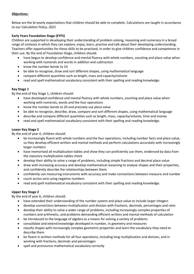# **Objectives:**

Below are the bi-yearly expectations that children should be able to complete. Calculations are taught in accordance to our *Calculation Policy, 2021*

# **Early Years Foundation Stage (EYFS)**

Children are supported in developing their understanding of problem solving, reasoning and numeracy in a broad range of contexts in which they can explore, enjoy, learn, practise and talk about their developing understanding. Teachers offer opportunities for these skills to be practised, in order to give children confidence and competence in their use. By the end of Foundation Stage, children should:

- have begun to develop confidence and mental fluency with whole numbers, counting and place value when working with numerals and words in addition and subtraction
- know the number bonds to 10
- be able to recognise, draw and sort different shapes, using mathematical language
- compare different quantities such as length, mass and capacity/volume
- read and spell mathematical vocabulary consistent with their spelling and reading knowledge.

# **Key Stage 1**

By the end of Key Stage 1, children should:

- have developed confidence and mental fluency with whole numbers, counting and place value when working with numerals, words and the four operations
- know the number bonds to 20 and precisely use place value
- be able to recognise, describe, draw, compare and sort different shapes, using mathematical language
- describe and compare different quantities such as length, mass, capacity/volume, time and money
- read and spell mathematical vocabulary consistent with their spelling and reading knowledge.

# **Lower Key Stage 2**

By the end of year 4, children should:

- be increasingly fluent with whole numbers and the four operations, including number facts and place value, so they develop efficient written and mental methods and perform calculations accurately with increasingly larger numbers
- have memorised all multiplication tables and show they can proficiently use them, evidenced by data from the statutory multiplication tables check
- develop their ability to solve a range of problems, including simple fractions and decimal place value
- draw with increasing accuracy and develop mathematical reasoning to analyse shapes and their properties, and confidently describe the relationships between them
- confidently use measuring instruments with accuracy and make connections between measure and number
- count across zero using negative numbers
- read and spell mathematical vocabulary consistent with their spelling and reading knowledge.

# **Upper Key Stage 2**

By the end of year 6, children should:

- have extended their understanding of the number system and place value to include larger integers
- develop connections between multiplication and division with fractions, decimals, percentages and ratio
- develop their ability to solve a wider range of problems, including increasingly complex properties of numbers and arithmetic, and problems demanding efficient written and mental methods of calculation
- be introduced to the language of algebra as a means for solving a variety of problems
- consolidate and extend knowledge developed in number, in geometry and measures
- classify shapes with increasingly complex geometric properties and learn the vocabulary they need to describe them
- be fluent in written methods for all four operations, including long multiplication and division, and in working with fractions, decimals and percentages
- spell and pronounce mathematical vocabulary correctly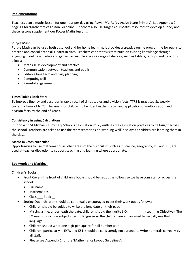## **Implementation:**

Teachers plan a maths lesson for one hour per day using *Power Maths* (by Active Learn Primary). See Appendix 2 page 11 for 'Mathematics Lesson Guideline. Teachers also use Target Your Maths resources to develop fluency and these lessons supplement our Power Maths lessons.

# **Purple Mash**

Purple Mash can be used both at school and for home learning. It provides a creative online programme for pupils to practise and consolidate skills learnt in class. Teachers can set tasks that build on existing knowledge through engaging in online activities and games, accessible across a range of devices, such as tablets, laptops and desktops. It allows:

- Maths skills development and practice
- Communication between teachers and pupils
- Editable long term and daily planning
- Computing skills
- Parental engagement

## **Times Tables Rock Stars**

To improve fluency and accuracy in rapid recall of times tables and division facts, TTRS is practised 3x weekly, currently from Y1 to Y6. The aim is for children to be fluent in their recall and application of multiplication and division facts by the end of Year 4.

## **Consistency in using Calculations**

St John with St Michael CE Primary School's Calculation Policy outlines the calculation practices to be taught across the school. Teachers are asked to use the representations on 'working-wall' displays as children are learning them in the class.

#### **Maths in Cross-curricular**

Opportunities to use mathematics in other areas of the curriculum such as in science, geography, P.E and ICT, are used at teacher discretion to support teaching and learning where appropriate.

# **Bookwork and Marking:**

# **Children's Books**

- Front Cover the front of children's books should be set out as follows so we have consistency across the school:
	- Full name
	- Mathematics
	- Class Book
- Setting Out children should be continually encouraged to set their work out as follows:
	- Children should be guided to write the long date on their page
	- Missing a line, underneath the date, children should then write L.O: (Learning Objective). The LO needs to include subject specific language so the children are encouraged to verbally use that language.
	- Children should write one digit per square for all number work.
	- Children, particularly in EYFS and KS1, should be consistently encouraged to write numerals correctly by all staff.
	- Please see Appendix 1 for the 'Mathematics Layout Guidelines'.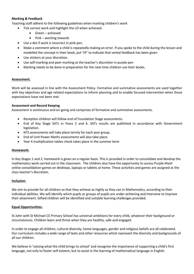# **Marking & Feedback**

Teaching staff adhere to the following guidelines when marking children's work

- Tick correct work and highlight the LO when achieved.
	- Green achieved
	- $\bullet$  Pink working towards
- Use a dot if work is incorrect in pink pen.
- Make a comment where a child is repeatedly making an error. If you spoke to the child during the lesson and modelled the concept in their book, put 'VF' to indicate that verbal feedback has been given
- Use stickers at your discretion.
- Use self-marking and peer marking at the teacher's discretion in purple pen
- Marking needs to be done in preparation for the next time children use their books.

## **Assessment:**

Work will be assessed in line with the Assessment Policy. Formative and summative assessments are used together with key objectives and age related expectations to inform planning and to enable focused intervention when those expectations have not been met.

## **Assessment and Record Keeping**

Assessment is continuous and on-going and comprises of formative and summative assessments.

- Reception children will follow end of Foundation Stage assessments.
- End of Key Stage SATs in Years 2 and 6. SATs results are published in accordance with Government legislation.
- NTS assessments will take place termly for each year group.
- End of Unit Power Maths assessments will also take place.
- Year 4 multiplication tables check takes place in the summer term

#### **Homework:**

In Key Stages 1 and 2, homework is given on a regular basis. This is provided in order to consolidate and develop the mathematics work carried out in the classroom. The children also have the opportunity to access Purple Mash online consolidation games on desktops, laptops or tablets at home. These activities and games are assigned at the class teacher's discretion.

#### **Inclusion:**

We aim to provide for all children so that they achieve as highly as they can in Mathematics, according to their individual abilities. We will identify which pupils or groups of pupils are under-achieving and intervene to improve their attainment. Gifted children will be identified and suitable learning challenges provided.

#### **Equal Opportunities:**

St John with St Michael CE Primary School has universal ambitions for every child, whatever their background or circumstances. Children learn and thrive when they are healthy, safe and engaged.

In order to engage all children, cultural diversity, home languages, gender and religious beliefs are all celebrated. Our curriculum includes a wide range of texts and other resources which represent the diversity and backgrounds of all our children.

We believe in 'valuing what the child brings to school' and recognise the importance of supporting a child's first language, not only to foster self-esteem, but to assist in the learning of mathematical language in English.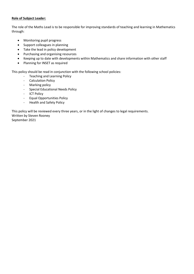## **Role of Subject Leader:**

The role of the Maths Lead is to be responsible for improving standards of teaching and learning in Mathematics through:

- Monitoring pupil progress
- Support colleagues in planning
- Take the lead in policy development
- Purchasing and organising resources
- Keeping up to date with developments within Mathematics and share information with other staff
- Planning for INSET as required

This policy should be read in conjunction with the following school policies:

- Teaching and Learning Policy
- Calculation Policy
- Marking policy
- Special Educational Needs Policy
- ICT Policy
- Equal Opportunities Policy
- Health and Safety Policy

This policy will be reviewed every three years, or in the light of changes to legal requirements. Written by Steven Rooney September 2021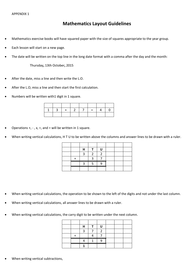# **Mathematics Layout Guidelines**

- Mathematics exercise books will have squared paper with the size of squares appropriate to the year group.
- Each lesson will start on a new page.
- The date will be written on the top line in the long date format with a comma after the day and the month:

Thursday**,** 13th October**,** 2015

- After the date, miss a line and then write the L.O.
- After the L.O, miss a line and then start the first calculation.
- Numbers will be written with1 digit in 1 square.

|  | $3 + 27 = 4$ |  |  |
|--|--------------|--|--|
|  |              |  |  |

- Operations  $+, -$ , x,  $\div$ , and = will be written in 1 square.
- When writing vertical calculations, H T U to be written above the columns and answer lines to be drawn with a ruler.

|  | Н | п |  |  |
|--|---|---|--|--|
|  |   |   |  |  |
|  |   |   |  |  |
|  |   |   |  |  |
|  |   |   |  |  |

- When writing vertical calculations, the operation to be shown to the left of the digits and not under the last column.
- When writing vertical calculations, all answer lines to be drawn with a ruler.
- When writing vertical calculations, the carry digit to be written under the next column.

|  | Н | п |  |  |
|--|---|---|--|--|
|  |   |   |  |  |
|  |   |   |  |  |
|  |   |   |  |  |
|  |   |   |  |  |

When writing vertical subtractions,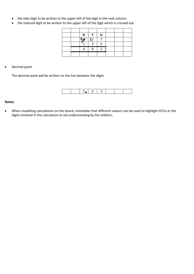- the *take* digit to be written to the upper left of the digit in the next column.
- the *reduced* digit to be written to the upper left of the digit which is crossed out.

|  | H       | $\mathbf{H}$ |  |  |
|--|---------|--------------|--|--|
|  | $5g$ 12 |              |  |  |
|  |         |              |  |  |
|  |         |              |  |  |
|  |         |              |  |  |

## Decimal point

The decimal point will be written on the line between the digits



# **Notes:**

 When modelling calculations on the board, remember that different colours can be used to highlight HTUs or the digits involved in the calculation to aid understanding by the children.